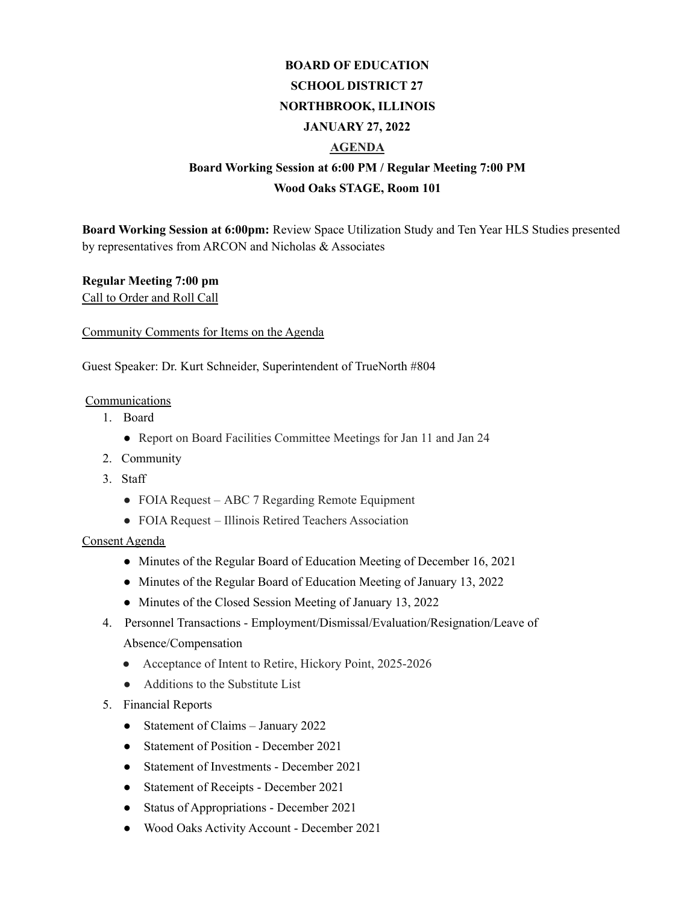# **BOARD OF EDUCATION SCHOOL DISTRICT 27 NORTHBROOK, ILLINOIS JANUARY 27, 2022 AGENDA Board Working Session at 6:00 PM / Regular Meeting 7:00 PM**

## **Wood Oaks STAGE, Room 101**

**Board Working Session at 6:00pm:** Review Space Utilization Study and Ten Year HLS Studies presented by representatives from ARCON and Nicholas & Associates

# **Regular Meeting 7:00 pm**

Call to Order and Roll Call

## Community Comments for Items on the Agenda

Guest Speaker: Dr. Kurt Schneider, Superintendent of TrueNorth #804

## Communications

- 1. Board
	- Report on Board Facilities Committee Meetings for Jan 11 and Jan 24
- 2. Community
- 3. Staff
	- FOIA Request ABC 7 Regarding Remote Equipment
	- FOIA Request Illinois Retired Teachers Association

## Consent Agenda

- Minutes of the Regular Board of Education Meeting of December 16, 2021
- Minutes of the Regular Board of Education Meeting of January 13, 2022
- Minutes of the Closed Session Meeting of January 13, 2022
- 4. Personnel Transactions Employment/Dismissal/Evaluation/Resignation/Leave of Absence/Compensation
	- Acceptance of Intent to Retire, Hickory Point, 2025-2026
	- Additions to the Substitute List
- 5. Financial Reports
	- Statement of Claims January 2022
	- Statement of Position December 2021
	- Statement of Investments December 2021
	- Statement of Receipts December 2021
	- Status of Appropriations December 2021
	- Wood Oaks Activity Account December 2021